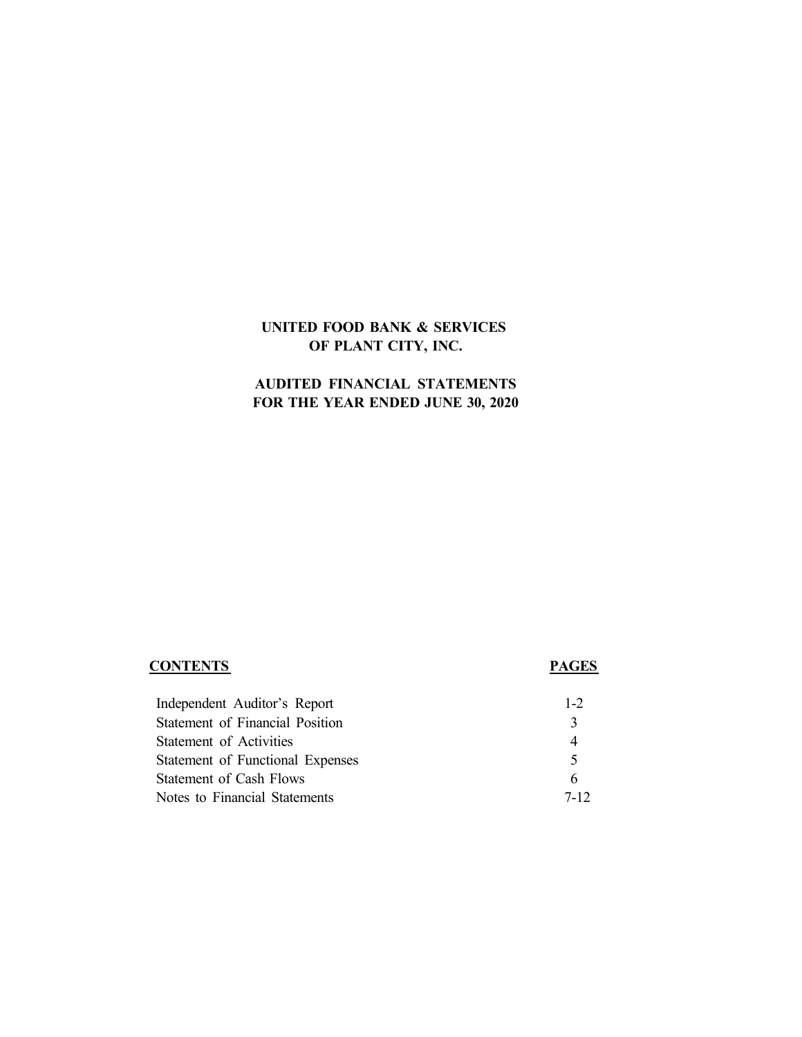# UNITED FOOD BANK & SERVICES OF PLANT CITY, INC.

# AUDITED FINANCIAL STATEMENTS FOR THE YEAR ENDED JUNE 30, 2020

# **CONTENTS**

# PAGES

| <b>AUDITED FINANCIAL STATEMENTS</b><br>FOR THE YEAR ENDED JUNE 30, 2020 |                     |  |
|-------------------------------------------------------------------------|---------------------|--|
|                                                                         |                     |  |
|                                                                         |                     |  |
|                                                                         |                     |  |
|                                                                         |                     |  |
|                                                                         |                     |  |
|                                                                         |                     |  |
|                                                                         |                     |  |
|                                                                         |                     |  |
|                                                                         |                     |  |
| <b>CONTENTS</b>                                                         | <b>PAGES</b>        |  |
|                                                                         |                     |  |
| Independent Auditor's Report                                            | $1 - 2$             |  |
| Statement of Financial Position                                         | 3                   |  |
| Statement of Activities                                                 | $\overline{4}$<br>5 |  |
| Statement of Functional Expenses<br>Statement of Cash Flows             |                     |  |
| Notes to Financial Statements                                           | 6<br>$7 - 12$       |  |
|                                                                         |                     |  |
|                                                                         |                     |  |
|                                                                         |                     |  |
|                                                                         |                     |  |
|                                                                         |                     |  |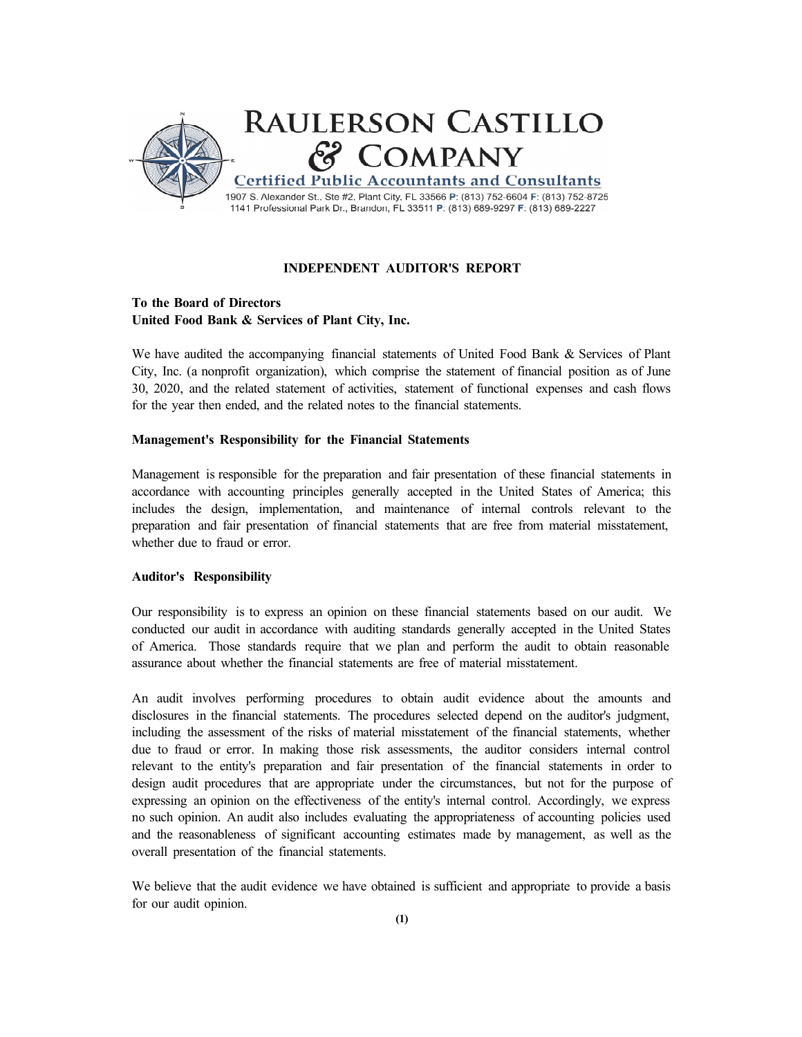

#### INDEPENDENT AUDITOR'S REPORT

#### To the Board of Directors United Food Bank & Services of Plant City, Inc.

for the year then ended, and the related notes to the financial statements.

#### Management's Responsibility for the Financial Statements

From the state of Bublic Accountants and Consultants<br>
any a Ahander's and Consultants and Consultants<br>
any a Ahander's and States (e. Bank Pick Barador, F. 3581 P. (8:5) 889-8297 F. (8:5) 889-8227<br>
The the Board of Directo **Examplementation Control Control Control Control Control Control Control Control Control Control Control Control Control Control Control Control Control Control Control Control Control Control Control Control Control Co** 1997's Alexander 81, Ste Re, Pant Givy FL 38689 P: (813) 762 8604 F: (813) 762 8726<br>
1141 Professional Park Dr., Brandian, FL 33611 P: (813) 689-3697 F: (813) 689-2227<br> **To the Board of Directors**<br>
1141 Professional Park D whether due to fraud or error. To the Board of Directors<br>
United Food Bank & Services of Plant City, Inc.<br>
We have audited the accompanying financial statements of United Food Bank & Services of Plant<br>
City, Inc. (a nonprofit organization), which compri To the Board of Directors<br>
Whave audited the accompanying financial statements of United Food Bank & Services of Plant<br>
We have audited the accompanying financial statement of financial position as of June<br>
City, Inc. (a n For the band of provides of Plant City, Inc.<br>
We have andied the accompanying financial statements of United Food Bank & Services of Plant<br>City, Inc. (a nonprofit organization), which comprise the statement of financial po

#### Auditor's Responsibility

assurance about whether the financial statements are free of material misstatement.

The manner and the metal statement of financial statement of financial position as of June<br>City, Inc. (a nonprofit organization), which comprise the statement of financial position as of June<br>30, 2020, and the related stat 30, 2020, and the related statement of activities, statement of functional expenses and cash flows<br>for the year then ended, and the related notes to the financial statements.<br> **Management's Responsibility for the Financial** For the year then ended, and the related notes to the financial statements.<br>
Management's Responsibility for the Financial Statements<br>
Management's Responsibility for the Financial Statements<br>
Management is responsible for Management's Responsibility for the Financial Statements<br>Management is responsible for the preparation and fair presentation of these financial statements in<br>encodence with accounting principles generally accepted in the U **Management's Responsibility for the Financial Statements**<br>
Management is responsible for the preparation and fair presentation of these financial statements in<br>
incroductes the estiga, implementation, and maintenance of i Management is responsionally for the variancian ond fair presentation of these financial statements in succeediance with accoording principles generally accepted in the United States of America; this includes the design, i Management is responsible for the preparation and fair presentation of these financial statements in a<br>according compile generally accepted in the United States of America, this<br>includes the design, implementation, and mai such an audit also includes the more proporation and more also includes the design infinite principles generally accepted in the United States of America; this includes the design, implementation, and maintenance of intern accountance wand train-particles accounting prompton accelerate are on consideration and fair presentation, and maintenance of internal controls relevant to the preparation and fair presentation of financial statements tha overall presentation of the financial statements. Andard eact of Letters.<br>
Anditor's Responsibility is to express an opinion on these financial statements based on our audit. We<br>conducted our audit in accordance with auditing standards generally accepted in the United St

for our audit opinion.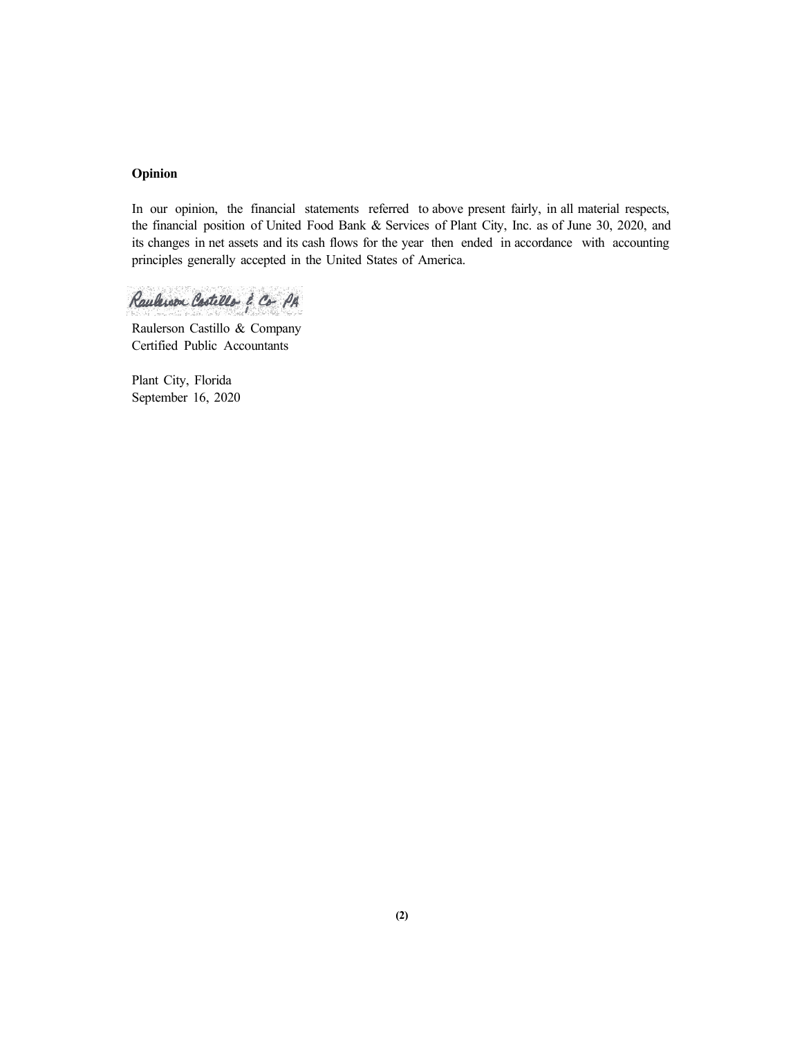#### Opinion

**Opinion**<br>In our opinion, the financial statements referred to above present fairly, in all material respects,<br>the financial position of United Food Bank & Services of Plant City, Inc. as of June 30, 2020, and<br>its changes **Opinion**<br>In our opinion, the financial statements referred to above present fairly, in all material respects,<br>the financial position of United Food Bank & Services of Plant City, Inc. as of June 30, 2020, and<br>its changes **Opinion**<br>In our opinion, the financial statements referred to above present fairly, in all material respects,<br>the financial position of United Food Bank & Services of Plant City, Inc. as of June 30, 2020, and<br>its changes principles generally accepted in the United States of America.

Raulerson Castillo & Company Certified Public Accountants

Plant City, Florida September 16, 2020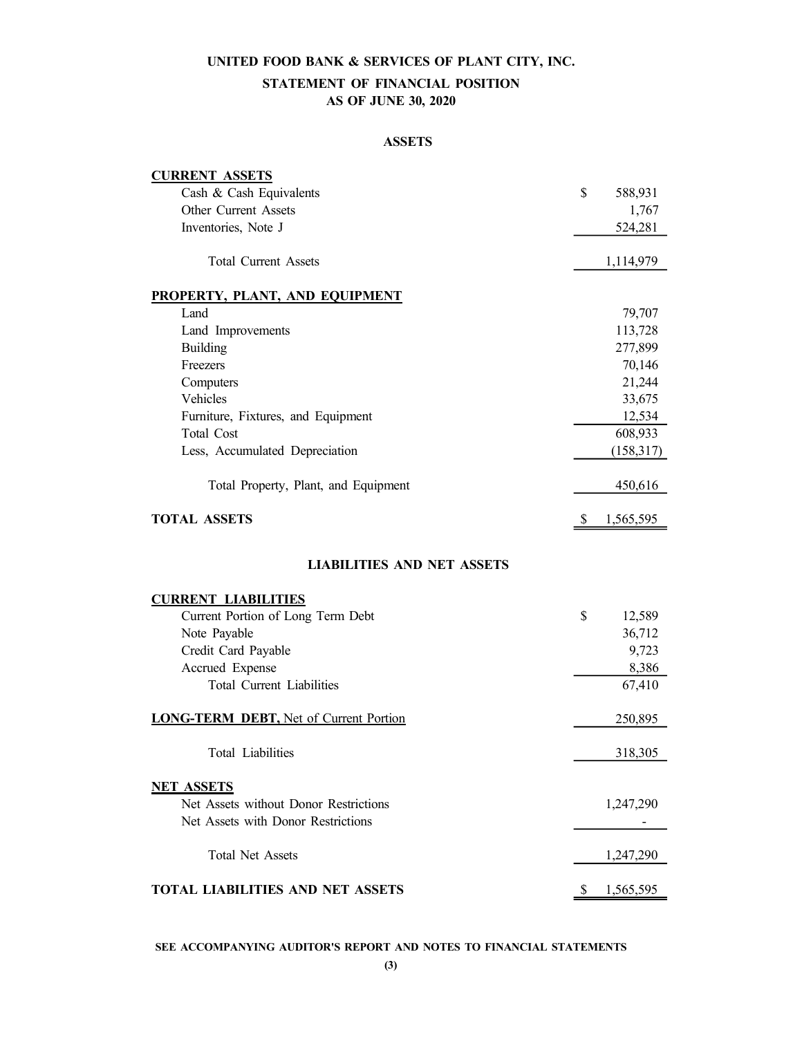# STATEMENT OF FINANCIAL POSITION

#### ASSETS

| UNITED FOOD BANK & SERVICES OF PLANT CITY, INC.                 |                            |
|-----------------------------------------------------------------|----------------------------|
| STATEMENT OF FINANCIAL POSITION                                 |                            |
| <b>AS OF JUNE 30, 2020</b>                                      |                            |
| <b>ASSETS</b>                                                   |                            |
| <b>CURRENT ASSETS</b>                                           |                            |
| Cash & Cash Equivalents                                         | \$<br>588,931              |
| Other Current Assets                                            | 1,767                      |
| Inventories, Note J                                             | 524,281                    |
| <b>Total Current Assets</b>                                     | 1,114,979                  |
|                                                                 |                            |
| PROPERTY, PLANT, AND EQUIPMENT<br>Land                          | 79,707                     |
| Land Improvements                                               | 113,728                    |
| <b>Building</b>                                                 | 277,899                    |
| Freezers                                                        | 70,146                     |
| Computers                                                       | 21,244                     |
| Vehicles                                                        | 33,675                     |
| Furniture, Fixtures, and Equipment                              | 12,534                     |
| <b>Total Cost</b>                                               | 608,933                    |
| Less, Accumulated Depreciation                                  | (158, 317)                 |
| Total Property, Plant, and Equipment                            | 450,616                    |
| <b>TOTAL ASSETS</b>                                             | 1,565,595<br><sup>\$</sup> |
| <b>LIABILITIES AND NET ASSETS</b>                               |                            |
|                                                                 |                            |
| <b>CURRENT LIABILITIES</b><br>Current Portion of Long Term Debt | \$<br>12,589               |
| Note Payable                                                    | 36,712                     |
| Credit Card Payable                                             | 9,723                      |
| Accrued Expense                                                 | 8,386                      |
| Total Current Liabilities                                       | 67,410                     |
| <b>LONG-TERM DEBT, Net of Current Portion</b>                   | 250,895                    |
| Total Liabilities                                               | 318,305                    |
| <b>NET ASSETS</b>                                               |                            |
| Net Assets without Donor Restrictions                           | 1,247,290                  |
| Net Assets with Donor Restrictions                              |                            |
| <b>Total Net Assets</b>                                         | 1,247,290                  |
|                                                                 |                            |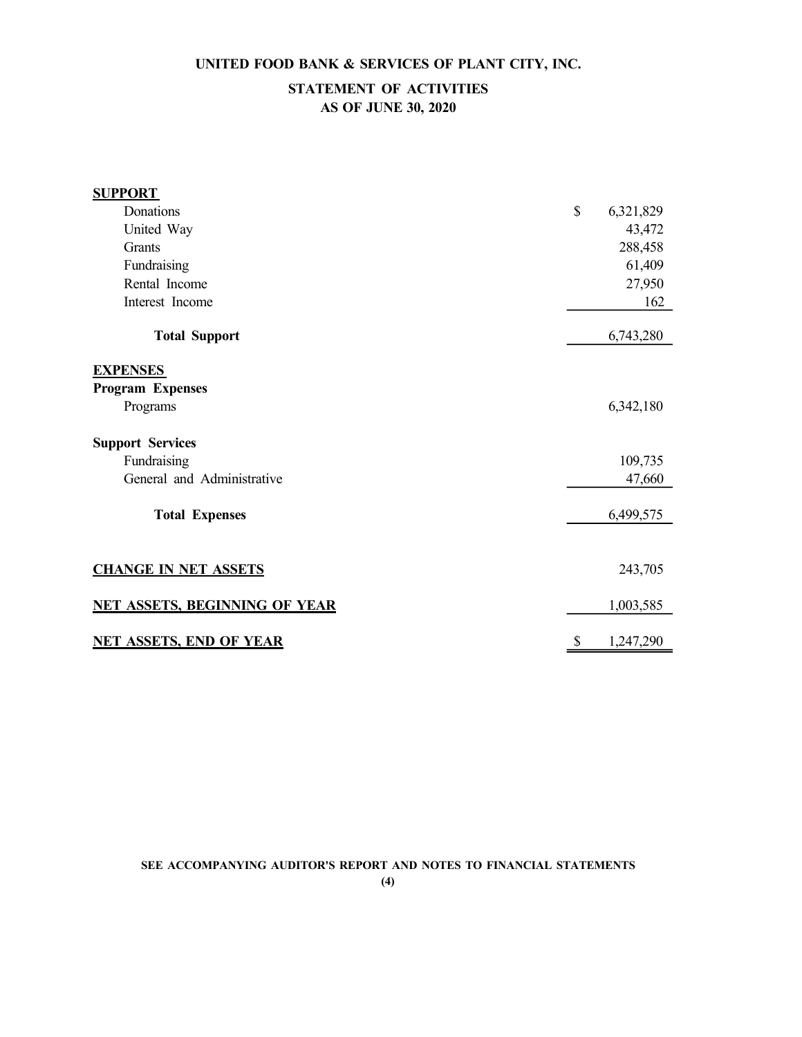# STATEMENT OF ACTIVITIES AS OF JUNE 30, 2020

| UNITED FOOD BANK & SERVICES OF PLANT CITY, INC. |                 |           |
|-------------------------------------------------|-----------------|-----------|
| STATEMENT OF ACTIVITIES<br>AS OF JUNE 30, 2020  |                 |           |
| <b>SUPPORT</b>                                  |                 |           |
| Donations                                       | \$<br>6,321,829 |           |
| United Way                                      |                 | 43,472    |
| Grants                                          |                 | 288,458   |
| Fundraising                                     |                 | 61,409    |
| Rental Income                                   |                 | 27,950    |
| Interest Income                                 |                 | 162       |
| <b>Total Support</b>                            | 6,743,280       |           |
| <b>EXPENSES</b>                                 |                 |           |
| Program Expenses<br>Programs                    | 6,342,180       |           |
| <b>Support Services</b>                         |                 |           |
| Fundraising                                     |                 | 109,735   |
| General and Administrative                      |                 | 47,660    |
| <b>Total Expenses</b>                           | 6,499,575       |           |
| <b>CHANGE IN NET ASSETS</b>                     |                 | 243,705   |
|                                                 |                 |           |
| NET ASSETS, BEGINNING OF YEAR                   |                 | 1,003,585 |
| <b>NET ASSETS, END OF YEAR</b>                  | \$<br>1,247,290 |           |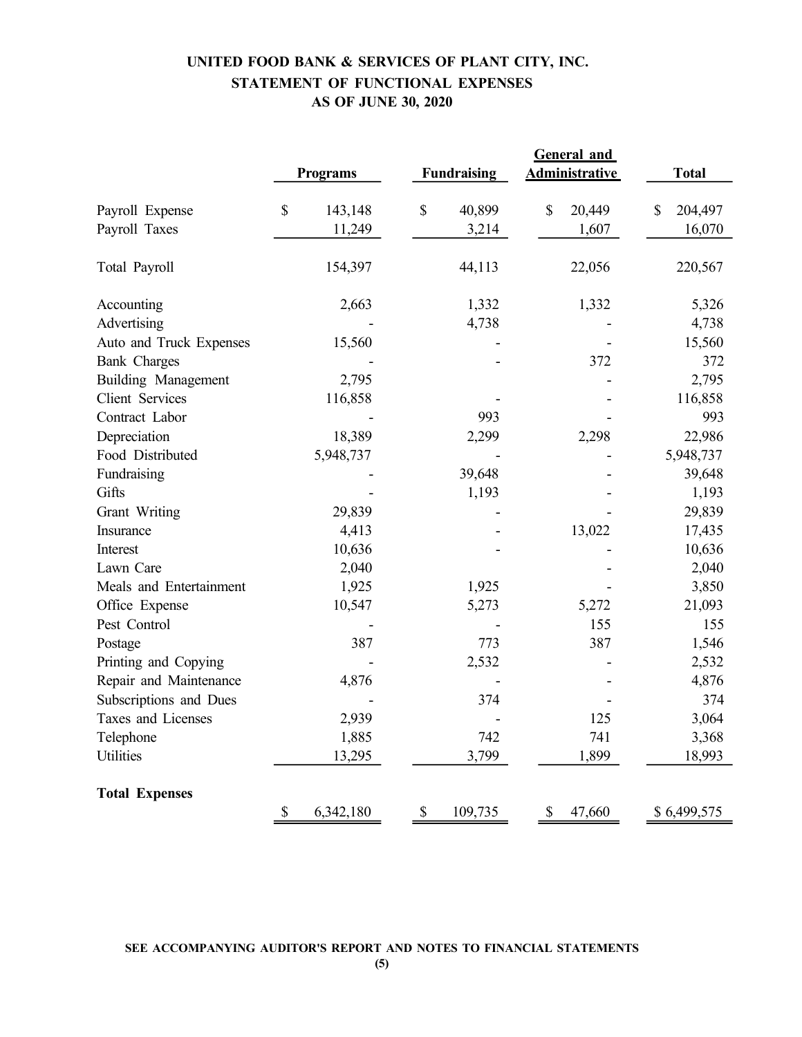# UNITED FOOD BANK & SERVICES OF PLANT CITY, INC. STATEMENT OF FUNCTIONAL EXPENSES AS OF JUNE 30, 2020

|                                  |                                                | <b>AS OF JUNE 30, 2020</b>                   |                                             |                         |
|----------------------------------|------------------------------------------------|----------------------------------------------|---------------------------------------------|-------------------------|
|                                  | <b>Programs</b>                                | <b>Fundraising</b>                           | <b>General</b> and<br><b>Administrative</b> | <b>Total</b>            |
| Payroll Expense<br>Payroll Taxes | $\boldsymbol{\mathsf{S}}$<br>143,148<br>11,249 | $\boldsymbol{\mathsf{S}}$<br>40,899<br>3,214 | 20,449<br>$\mathbb{S}$<br>1,607             | 204,497<br>\$<br>16,070 |
| Total Payroll                    | 154,397                                        | 44,113                                       | 22,056                                      | 220,567                 |
| Accounting                       | 2,663                                          | 1,332                                        | 1,332                                       | 5,326                   |
| Advertising                      |                                                | 4,738                                        |                                             | 4,738                   |
| Auto and Truck Expenses          | 15,560                                         |                                              |                                             | 15,560                  |
| <b>Bank Charges</b>              |                                                |                                              | 372                                         | 372                     |
| <b>Building Management</b>       | 2,795                                          |                                              |                                             | 2,795                   |
| Client Services                  | 116,858                                        |                                              |                                             | 116,858                 |
| Contract Labor                   | $\overline{\phantom{a}}$                       | 993                                          |                                             | 993                     |
| Depreciation                     | 18,389                                         | 2,299                                        | 2,298                                       | 22,986                  |
| Food Distributed                 | 5,948,737                                      |                                              |                                             | 5,948,737               |
| Fundraising                      |                                                | 39,648                                       |                                             | 39,648                  |
| Gifts                            |                                                | 1,193                                        |                                             | 1,193                   |
| Grant Writing                    | 29,839                                         |                                              |                                             | 29,839                  |
| Insurance                        | 4,413                                          |                                              | 13,022                                      | 17,435                  |
| Interest                         | 10,636                                         |                                              |                                             | 10,636                  |
| Lawn Care                        | 2,040                                          |                                              |                                             | 2,040                   |
| Meals and Entertainment          | 1,925                                          | 1,925                                        |                                             | 3,850                   |
| Office Expense                   | 10,547                                         | 5,273                                        | 5,272                                       | 21,093                  |
| Pest Control                     |                                                |                                              | 155                                         | 155                     |
| Postage                          | 387                                            | 773                                          | 387                                         | 1,546                   |
| Printing and Copying             |                                                | 2,532                                        |                                             | 2,532                   |
| Repair and Maintenance           | 4,876                                          |                                              |                                             | 4,876                   |
| Subscriptions and Dues           |                                                | 374                                          |                                             | 374                     |
| Taxes and Licenses               | 2,939                                          |                                              | 125                                         | 3,064                   |
| Telephone                        | 1,885                                          | 742                                          | 741                                         | 3,368                   |
| Utilities                        | 13,295                                         | 3,799                                        | 1,899                                       | 18,993                  |
| <b>Total Expenses</b>            | 6,342,180<br><sup>8</sup>                      | 109,735<br>$\mathbb{S}$                      | 47,660<br>$\mathbb{S}$                      | \$6,499,575             |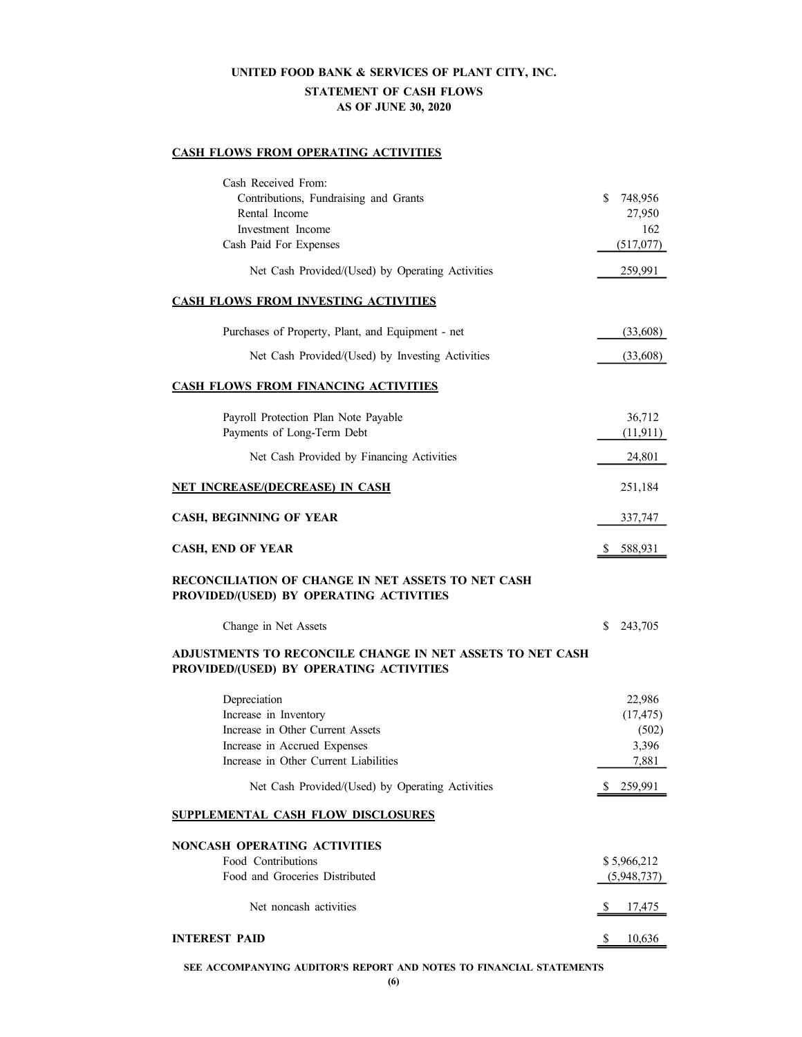# UNITED FOOD BANK & SERVICES OF PLANT CITY, INC. STATEMENT OF CASH FLOWS AS OF JUNE 30, 2020

### CASH FLOWS FROM OPERATING ACTIVITIES

| UNITED FOOD BANK & SERVICES OF PLANT CITY, INC.                                                      |                            |
|------------------------------------------------------------------------------------------------------|----------------------------|
| STATEMENT OF CASH FLOWS<br>AS OF JUNE 30, 2020                                                       |                            |
| <b>CASH FLOWS FROM OPERATING ACTIVITIES</b>                                                          |                            |
| Cash Received From:                                                                                  |                            |
| Contributions, Fundraising and Grants<br>Rental Income                                               | \$ 748,956<br>27,950       |
| Investment Income<br>Cash Paid For Expenses                                                          | 162<br>(517,077)           |
| Net Cash Provided/(Used) by Operating Activities                                                     | 259,991                    |
| <b>CASH FLOWS FROM INVESTING ACTIVITIES</b>                                                          |                            |
| Purchases of Property, Plant, and Equipment - net                                                    | (33,608)                   |
| Net Cash Provided/(Used) by Investing Activities                                                     | (33,608)                   |
| <b>CASH FLOWS FROM FINANCING ACTIVITIES</b>                                                          |                            |
| Payroll Protection Plan Note Payable<br>Payments of Long-Term Debt                                   | 36,712<br>(11, 911)        |
| Net Cash Provided by Financing Activities                                                            | 24,801                     |
| <b>NET INCREASE/(DECREASE) IN CASH</b>                                                               | 251,184                    |
| CASH, BEGINNING OF YEAR                                                                              | 337,747                    |
| CASH, END OF YEAR                                                                                    | 588,931                    |
| RECONCILIATION OF CHANGE IN NET ASSETS TO NET CASH<br>PROVIDED/(USED) BY OPERATING ACTIVITIES        |                            |
| Change in Net Assets                                                                                 | \$<br>243,705              |
| ADJUSTMENTS TO RECONCILE CHANGE IN NET ASSETS TO NET CASH<br>PROVIDED/(USED) BY OPERATING ACTIVITIES |                            |
| Depreciation                                                                                         | 22,986                     |
| Increase in Inventory<br>Increase in Other Current Assets                                            | (17, 475)<br>(502)         |
| Increase in Accrued Expenses<br>Increase in Other Current Liabilities                                | 3,396<br>7,881             |
| Net Cash Provided/(Used) by Operating Activities                                                     | \$259,991                  |
| SUPPLEMENTAL CASH FLOW DISCLOSURES                                                                   |                            |
| NONCASH OPERATING ACTIVITIES                                                                         |                            |
| Food Contributions<br>Food and Groceries Distributed                                                 | \$5,966,212<br>(5,948,737) |
| Net noncash activities                                                                               | 17,475                     |
| <b>INTEREST PAID</b>                                                                                 | 10,636                     |
| SEE ACCOMPANYING AUDITOR'S REPORT AND NOTES TO FINANCIAL STATEMENTS<br>(6)                           |                            |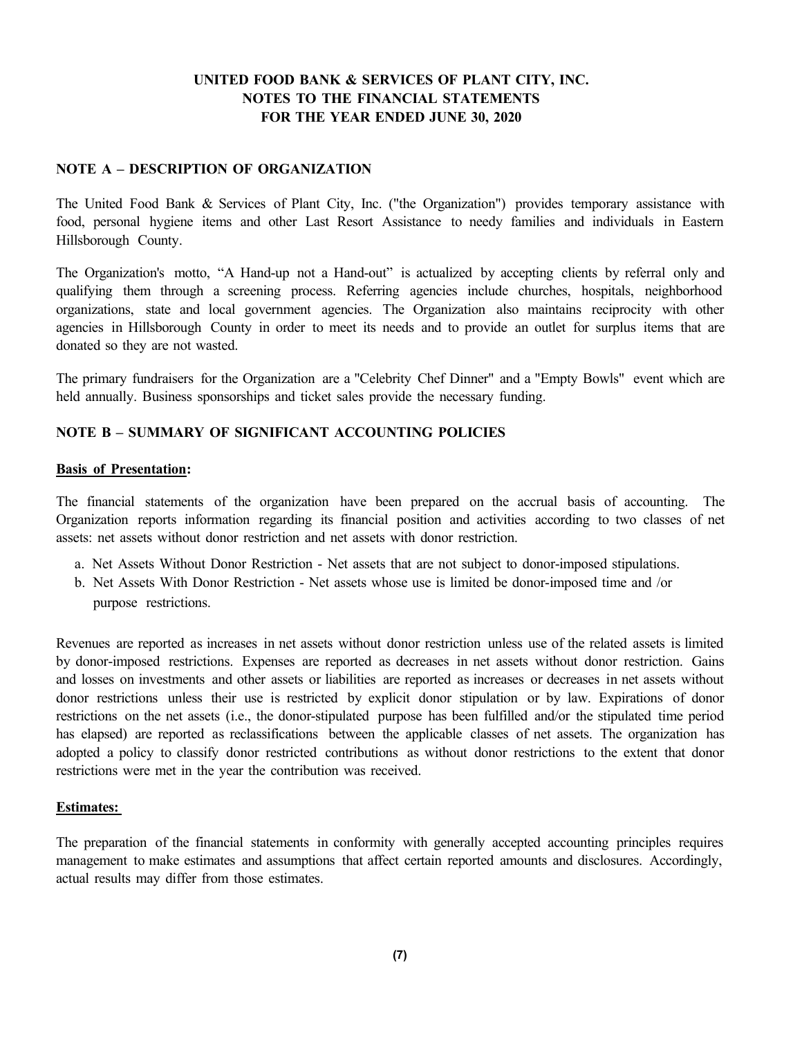### NOTE A – DESCRIPTION OF ORGANIZATION

The United Food Bank & Services of Plant City, Inc. ("the Organization") provides temporary assistance with EXECT UNITED FOOD BANK & SERVICES OF PLANT CITY, INC.<br>
NOTES TO THE FINANCIAL STATEMENTS<br>
FOR THE YEAR ENDED JUNE 30, 2020<br>
NOTE A – DESCRIPTION OF ORGANIZATION<br>
The United Food Bank & Services of Plant City, Inc. ("the Or Hillsborough County.

The Organization's motto, "A Hand-up not a Hand-out" is actualized by accepting clients by referral only and UNITED FOOD BANK & SERVICES OF PLANT CITY, INC.<br>
NOTES TO THE FINANCIAL STATEMENTS<br>
FOR THE VEAR ENDED JUNE 30, 2020<br>
NOTE A – DESCRIPTION OF ORGANIZATION<br>
The United Food Bank & Services of Plant City, Inc. ("the Organiza **CORTE ACTE CORT CONSTRANCE SOF PLANT CITY, INC.**<br> **NOTE A – DESCRIPTION OF ORGANIZATION**<br>
The United Food Bank & Services of Plant City, Inc. ("the Organization") provides temporary assistance with<br>
food, personal hygiene **EXECT THE FRANCISE OF PLANT CITY, INC.**<br> **EXECUTE ATTENTANTS FOR THE FEAREMED JUNE 30, 2020**<br> **NOTE A – DESCRIPTION OF ORGANIZATION**<br>
The United Food Bank & Services of Plant City, Inc. ("the Organization") provides tempo donated so they are not wasted. between the main is the Assets With Donor Restriction - Net assets whose use of the proposed restriction. Cannot Conoration's method out an illustriction, the Chromor Assets Minipoly and the chromor and local government ag A personal and work of the control is a studied by accepting clients by referral only and informations, studied points are not are not are not are not are not are not are not are not informations, subject to mean in the su **NOTE A – DESCRIPTION OF ORGANIZATION**<br>The United Food Bank & Services of Plant City, Ine. ("the Organization") provides temporary assistance with<br>final shown hygiene tiems and other Last Resort Assistance to needy familie The United Food Bank & Services of Plant City, Ine. ("the Organization") provides temporary assistance with<br>Finliborotoph County.<br>
Finliborotoph County.<br>
Financial position research and other Last Resort Assistance to need

The primary fundraisers for the Organization are a "Celebrity Chef Dinner" and a "Empty Bowls" event which are held annually. Business sponsorships and ticket sales provide the necessary funding.

### NOTE B – SUMMARY OF SIGNIFICANT ACCOUNTING POLICIES

#### Basis of Presentation:

assets: net assets without donor restriction and net assets with donor restriction.

- 
- purpose restrictions.

organizations, state and local government agencies. The Organization also maintains reciprocity with other donated so they are not wasted.<br>
The primary fundraisers for the Organization are a "Celebrity Chef Dinner" and a " agencies in Hillshorough County in order to meet its needs and to provide an outlet for surplus items that are<br>donated so they are not wasted.<br>The primary fundraisers for the Organization are a "Celebrity Chef Dimer" and a donated so they are not wasted.<br>The primary fundraisers for the Organization are a "Celebrity Chef Dinner" and a "Empty Bowls" event which are<br>held annually. Business sponsorships and ticket sales provide the necessary fun The primary fundraisers for the Organization are a "Celebrity Chef Dinner" and a "Empty Bowls" event which are<br>held annually. Business sponsorships and ticket sales provide the necessary funding.<br>NOTE B – SUMMARY OF SIGNIF The primary tundraisers for the Organization are a "Celebrity Chet Dimner" and "Empty Bowis" event which are held amually. Business sponsorships and ticket sales provide the necessary funding.<br>
NOTE B – SUMMARY OF SIGNIFIC held annually. Business sponsorships and ticket sales provide the necessary tunding.<br> **NOTE B – SUMMARY OF SIGNIFICANT ACCOUNTING POLICIES**<br> **Basis of Presentation:**<br>
The financial statements of the organization have been **NOTE B – SUMMARY OF SIGNIFICANT ACCOUNTING POLICIES**<br> **Rasis of Presentation:**<br>
The fimancial statements of the organization have been prepared on the accrual basis of accounting. The<br>
Organization reports information reg restrictions were met in the year the contribution was received. The manutal sasterless on the ogganzial on the other here is pepare of the financial statements of the specific mechanic according to two classes of net assets without donor restriction and net assets with donor restrictio organization reports miontimator regating is mannear position and activities according to two classes or net assets with donor restriction. Ale assets with donor restriction - Net assets that are not subject to donor-impos

#### Estimates:

actual results may differ from those estimates.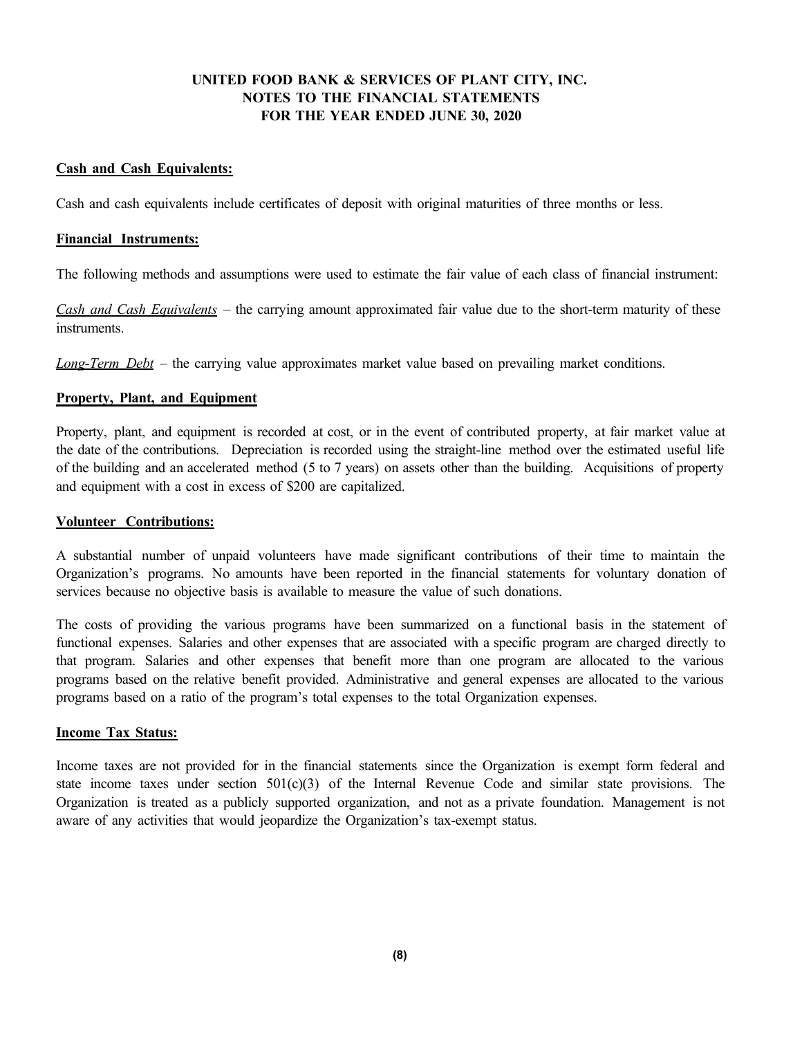#### Cash and Cash Equivalents:

Cash and cash equivalents include certificates of deposit with original maturities of three months or less.

#### Financial Instruments:

The following methods and assumptions were used to estimate the fair value of each class of financial instrument:

Cash and Cash Equivalents – the carrying amount approximated fair value due to the short-term maturity of these instruments.

Long-Term Debt – the carrying value approximates market value based on prevailing market conditions.

# Property, Plant, and Equipment

Property, plant, and equipment is recorded at cost, or in the event of contributed property, at fair market value at FOR THE VEAR ENDED JUNE 30, 2020<br>
Cash and Cash Equivalents:<br>
Cash and cash equivalents:<br>
Financial Instruments:<br>
The following methods and assumptions were used to estimate the fair value of each class of financial instr **Cash and Cash Equivalents:**<br>Cash and eash equivalents include certificates of deposit with original maturities of three months or less.<br>Financial Instruments:<br>The following methods and assumptions were used to estimate t and equipment with a cost in excess of \$200 are capitalized. **Financial Instruments:**<br>
The following methods and assumptions were used to estimate the fair value of each class of financial instruments.<br>
Cash and Cash Equivalents – the earrying value approximates market value based

#### Volunteer Contributions:

A substantial number of unpaid volunteers have made significant contributions of their time to maintain the services because no objective basis is available to measure the value of such donations.

The costs of providing the various programs have been summarized on a functional basis in the statement of Cosh and Cosh Equivalents – the carrying amount approximated fair value due to the short-term maturity of these<br>instruments.<br> **Property, Plant, and Equipment**<br> **Property, plant, and Equipment**<br> **Property, plant, and Equipm** Instruments.<br> **Property, Plant, and Equipment**<br> **Property, Plant, and Equipment**<br> **Property, Plant, and equipment**<br> **Property, plant, and equipment**<br> **Property, plant, and equipment**<br> **Property, plant, and equipment** is re **Long-Term. Debt** – the carrying value approximates market value based on prevailing market conditions.<br> **Property, plant, and equipment**<br> **Property, plant, and equipment**<br> **Property, plant, and equipment** is recorded at programs based on a ratio of the program's total expenses to the total Organization expenses. the date of the contributions. Depreciation is recorded using the strught-line method over the estimated useful life<br>of the building and an accelerated method (5 to 7 years) on assets other than the building. Acquisitions of the building and ancelerated method (5 to 7 years) on assets other than the building. Acquisitions of property and equipment with a cost in excess of \$200 are capitalized.<br>
A aubstantial number of unpaid volunteers hav

#### Income Tax Status:

Income taxes are not provided for in the financial statements since the Organization is exempt form federal and aware of any activities that would jeopardize the Organization's tax-exempt status.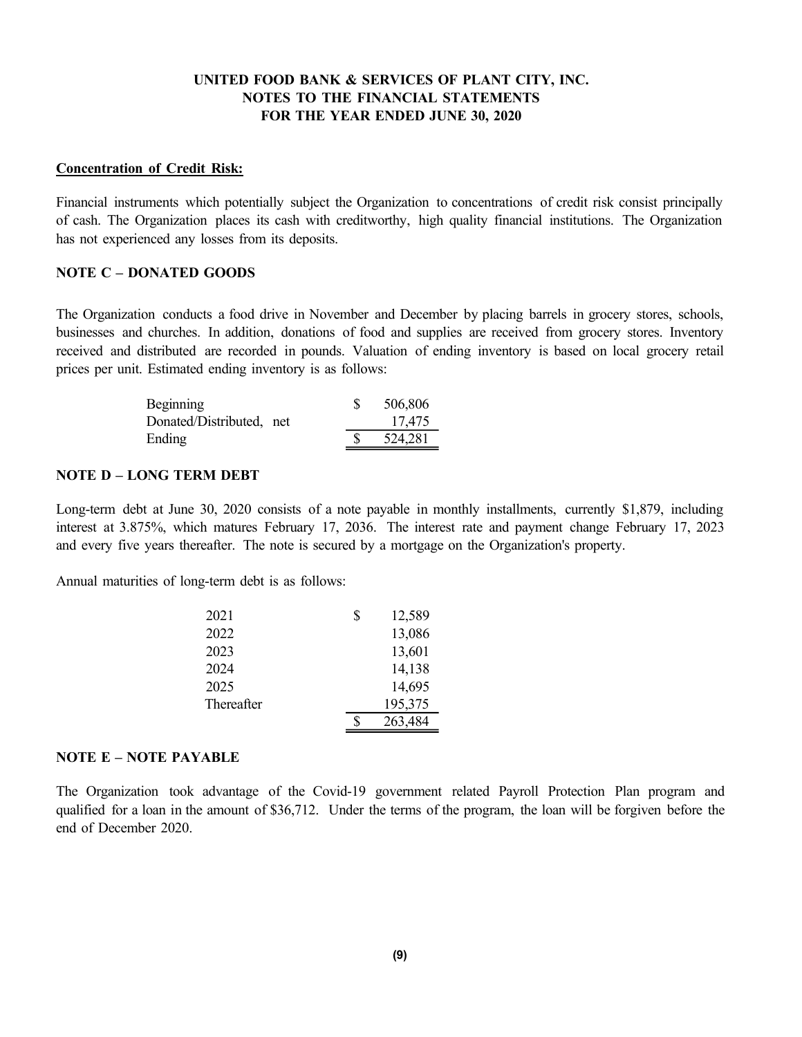#### Concentration of Credit Risk:

Financial instruments which potentially subject the Organization to concentrations of credit risk consist principally **CORGANT CORGANT CORGANT CORGANT CORGANT CORGANT CORGANT CONCESS IT THE VEAR ENDED JUNE 30, 2020**<br> **Concentration of Credit Risk:**<br>
Financial instruments which potentially subject the Organization to concentrations of cred has not experienced any losses from its deposits.

#### NOTE C – DONATED GOODS

DOTES TO THE FINANCIAL STATEMENTS<br>
NOTES TO THE FINANCIAL STATEMENTS<br>
FOR THE VEAR ENDED JUNE 30, 2020<br>
of Credit Risk:<br>
ments which potentially subject the Organization to concentrations of credit risk consist principall Solution of a November and December by placing barrels in grocery stores, schools,<br>
In addition, domaions of food and supplies are received from grocery stores, hiventory<br>
are recorded in pounds. Valuation of ending invent s a food drive in November and December by placing barrels in grocery stores, schools,<br>
In addition, donations of food and supplies are received from grocery stores. Inventory<br>
are recorded in pounds. Valuation of ending i s a lood drive in November and December by placematis in grocery stores, schools,<br>
In addition, donations of food and supplies are received from grocery stores. Inventory<br>
are recorded in pounds. Valuation of ending invent Financial instruments which potentially subject the Organization to concentrations of credit risk consist principally<br>
the ansh. The Organization places is cash with creditworthy, high quality financial institutions. The and encodence of the secured and specifical specifical specific of cash. The Organization places its eash with creditworthy, high quality financial institutions. The Organization<br>has not experienced any losses from its de UNITED FOOD BANK & SERVICES OF PLANT CITY, INC.<br>
NOTES TO THE FINANCIAL STATEMENTS<br>
FOR THE VEAR ENDED JUNE 30, 2020<br>
Concentration of Credit Risk:<br>
Financial instruments which potentially subject the Organization to conce **UNITED FOOD BANK & SERVICES OF PLANT CITY, INC.**<br> **SOTTHE FINANCIAL STATEMENTS**<br> **FOR THE VEAR ENDED JUNE 30, 2020**<br> **Concentration of Credit Risk:**<br> **Financial instruments which potentially subject the Organization to co EXECT THE FRAM DEATE ARE REFAIL STATEMENTS**<br> **FRAM DEATE ARE VEAR ENDED JUNE 30, 2020**<br> **Concentration of Credit Risk:**<br> **Francial instruments which potentially** subject the Organization to concentrations of credit risk prices per unit. Estimated ending inventory is as follows:

| Beginning                | 506,806 |  |
|--------------------------|---------|--|
| Donated/Distributed, net | 17.475  |  |
| Ending                   | 524,281 |  |

# NOTE D – LONG TERM DEBT

Long-term debt at June 30, 2020 consists of a note payable in monthly installments, currently \$1,879, including

Annual maturities of long-term debt is as follows:

| d ending inventory is as follows: | . In addition, donations of food and supplies are received from grocery stores. Inventory<br>are recorded in pounds. Valuation of ending inventory is based on local grocery retail                                                                             |
|-----------------------------------|-----------------------------------------------------------------------------------------------------------------------------------------------------------------------------------------------------------------------------------------------------------------|
| g<br>Distributed, net             | \$<br>506,806<br>17,475<br>$\boldsymbol{\mathsf{S}}$<br>524,281                                                                                                                                                                                                 |
| <b>RM DEBT</b>                    |                                                                                                                                                                                                                                                                 |
| g-term debt is as follows:        | 30, 2020 consists of a note payable in monthly installments, currently \$1,879, including<br>ch matures February 17, 2036. The interest rate and payment change February 17, 2023<br>reafter. The note is secured by a mortgage on the Organization's property. |
| 2021                              | $\mathbb{S}$<br>12,589                                                                                                                                                                                                                                          |
| 2022                              | 13,086                                                                                                                                                                                                                                                          |
| 2023                              | 13,601                                                                                                                                                                                                                                                          |
| 2024                              | 14,138                                                                                                                                                                                                                                                          |
| 2025                              | 14,695                                                                                                                                                                                                                                                          |
| Thereafter                        | 195,375                                                                                                                                                                                                                                                         |
|                                   | 263,484                                                                                                                                                                                                                                                         |
| 'ABLE                             |                                                                                                                                                                                                                                                                 |
|                                   | odventore of the Covid 10 covernment related Dovroll Drotection Dlan program and                                                                                                                                                                                |

#### NOTE E – NOTE PAYABLE

The Organization took advantage of the Covid-19 government related Payroll Protection Plan program and **NOTE D – IONG TERM DEBT**<br>
Long-term debt at June 30, 2020 consists of a note payable in monthly installments, currently \$1,879, including<br>
interest at 3.875%, which matures at 3.875%, which matures at 3.87%, which mature end of December 2020.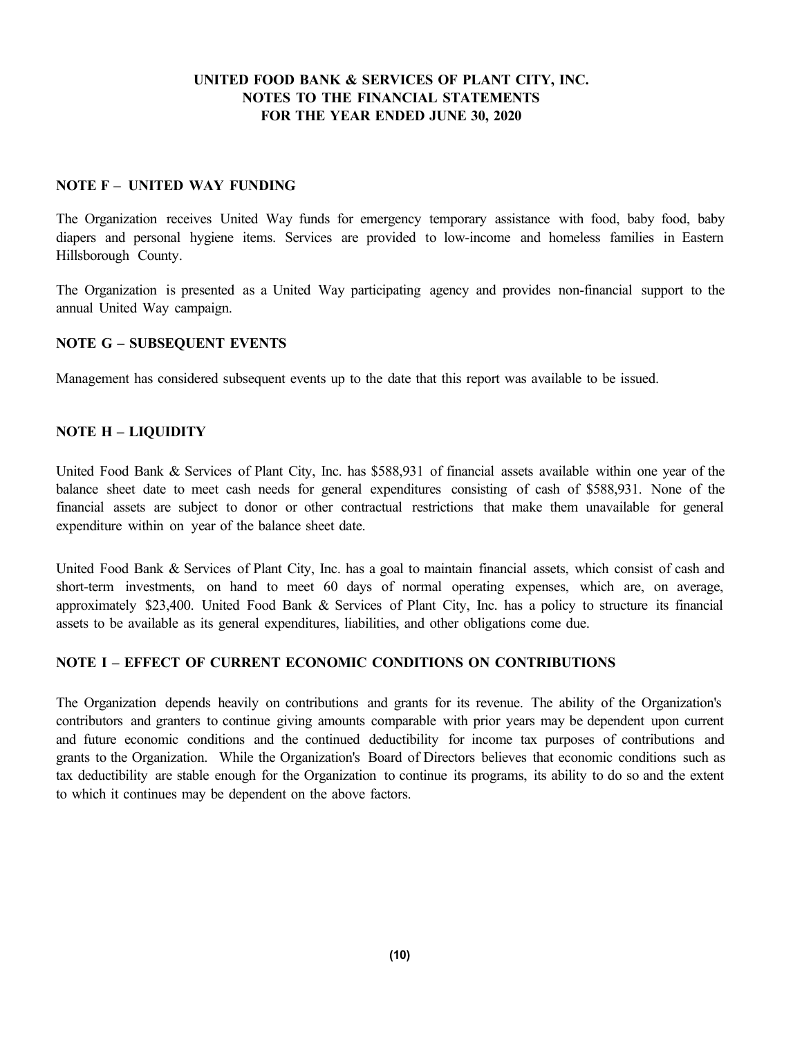# NOTES TO THE FINANCIAL STATEMENTS FOR THE YEAR ENDED JUNE 30, 2020 UNITED FOOD BANK & SERVICES OF PLANT CITY, INC.

UNITED FOOD BANK & SERVICES OF PLANT CITY, INC.<br>NOTES TO THE FINANCIAL STATEMENTS<br>FOR THE YEAR ENDED JUNE 30, 2020<br>NOTE F – UNITED WAY FUNDING<br>The Organization receives United Way funds for emergency temporary assistance w The Organization receives United Way funds foremergency temporary assistance with food, baby food, baby UNITED FOOD BANK & SERVICES OF PLANT CITY, INC.<br>
NOTES TO THE FINANCIAL STATEMENTS<br>
FOR THE YEAR ENDED JUNE 30, 2020<br>
NOTE F – UNITED WAY FUNDING<br>
The Organization receives United Way funds for emergency temporary assistan Hillsborough County.

The Organization is presented as a United Way participating agency and provides non-financial support to the annual United Way campaign.

# NOTE G – SUBSEQUENT EVENTS

Management has considered subsequent events up to the date that this report was available to be issued.

# NOTE H – LIQUIDITY

NOTE **H** – UNITED WAY FUNDING<br>The Organization receives United Way funds for emergency temporary assistance with food, baby food, baby<br>diapers and personal hygiene items. Services are provided to low-income and homeless fa **NOTE F – LINITED WAY FUNDING**<br>The Organization receives United Way funds for emergency temporary assistance with food, baby food, baby<br>diapers and personal hygiene items. Services are provided to low-income and homeless f **SOTE F – UNITED WAY FUNDING**<br>The Organization receives United Way funds for emergency temporary assistance with food, baby food, baby<br>diapers and personal hygiene items. Services are provided to low-income and homeless fa EXPERT F - UNTED WAT FUNDING<br>The Organization receives United Way funds for emergency temporary assistance with food,<br>diapers and personal hygiene items. Services are provided to low-income and homeless fa<br>diapers and pers diapers and personal hygiene items. Services are provided to low-income and homeless families in Eastern<br>Fillshorough County.<br>The Organization is presented as a United Way participating agency and provides non-financial su Hillsborough County.<br>
The Organization is presented as a United Way participating agency and provides non-financial support to the<br>
annual United Way campaign.<br> **NOTE G – SUBSEQUENT EVENTS**<br>
Management has considered subse The Organization is presented as a United Way participating agency and provides non-financial support to the annual United Way campaign.<br> **NOTE G – SUBSEQUENT EVENTS**<br>
Management has considered subsequent events up to the

assets to be available as its general expenditures, liabilities, and other obligations come due.

# NOTE I – EFFECT OF CURRENT ECONOMIC CONDITIONS ON CONTRIBUTIONS

Management has considered subsequent events up to the date that this report was available to be issued.<br> **NOTE H – LIQUIDITY**<br>
United Food Bank & Services of Plant City, Inc. has S588,931 of financial assets available with When the contributors and grants for the same standard and grants and grants to continue in the continue giving amounts consider the continue scontinue schemes a set and the prior of the balance sheet date to meet cash ne **NOTE H – LIQUIDITY**<br>
United Food Bank & Services of Plant City, Inc. has \$588,931 of financial assets available within one year of the<br>
bulance sheet date to meet cash needs for general expenditures consisting of cash of **EXECT CORGETS**<br> **CORGETS** United Food Bank & Services of Plant City, Inc. has \$588,931 of financial assets available within one year of the balance sheet date to meet ceah needs for general expenditures consisting of ceah For the duck of Plant City, Inc. has \$588,931 of financial assets available within one year of the United Food Bank & Services of Plant City, Inc. has S988,931 of financial assets available for general chancial assets are to which it continues may be dependent on the above factors.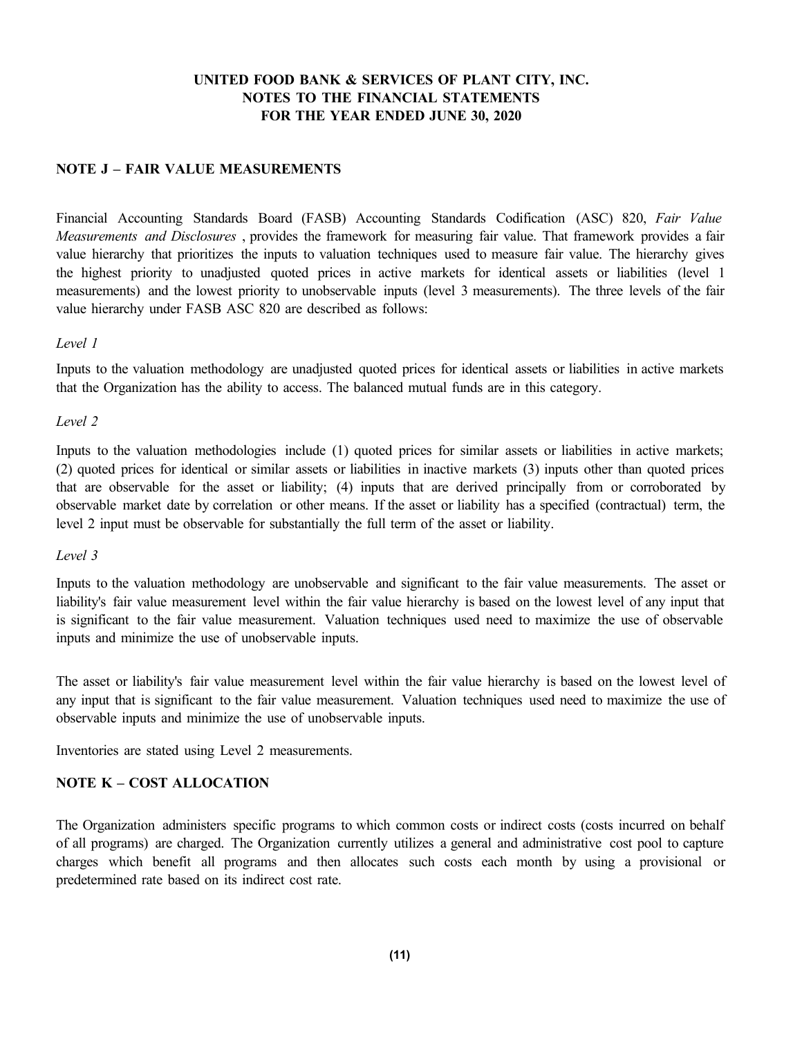### NOTE J – FAIR VALUE MEASUREMENTS

**EXECTS OF PLANT CITY, INC.**<br> **FOR THE FINANCIAL STATEMENTS**<br> **FOR THE YEAR ENDED JUNE 30, 2020**<br> **NOTE J – FAIR VALUE MEASUREMENTS**<br>
Financial Accounting Standards Board (FASB) Accounting Standards Codification (ASC) 820, UNITED FOOD BANK & SERVICES OF PLANT CITY, INC.<br>
NOTES TO THE FINANCIAL STATEMENTS<br>
FOR THE YEAR KNDED JUNE 30, 2020<br>
NOTE J – FAIR VALUE MEASUREMENTS<br>
Financial Accounting Standards Board (FASB) Accounting Standards Codif **UNITED FOOD BANK & SERVICES OF PLANT CITY, INC.**<br> **VOTES TO THE FINANCIAL STATEMENTS**<br> **FOR THE VEAR ENDED JUNE 30, 2020**<br> **NOTE J – FAIR VALUE MEASUREMENTS**<br> **Financial Accounting Standards Board (FASB)** Accounting Stand UNITED FOOD BANK & SERVICES OF PLANT CITY, INC.<br>
NOTE J – FAIR VALUE MEASUREMENTS<br>
FOR THE YEAR ENDED JUNE 30, 2020<br>
NOTE J – FAIR VALUE MEASUREMENTS<br>
Financial Accounting Standards Board (FASB) Accounting Standards Codifi **UNITED FOOD BANK & SERVICES OF PLANT CITY, INC.**<br> **NOTES TO THE FINANCIAL STATEMENTS**<br> **FOR THE VEAR ENDED JUNE 30, 2020**<br> **NOTE J – FAIR VALUE MEASUREMENTS**<br> **Financial Accounting Standards** Board (FASB) Accounting Stand value hierarchy under FASB ASC 820 are described as follows: **INITED FOOD BANK & SERVICES OF PLANT CITY, INC.**<br> **NOTE J – FAIR VALUE MEASUREMENTS**<br> **FOR THE VEAR ENDED JUNE 30, 2020**<br> **NOTE J – FAIR VALUE MEASUREMENTS**<br> **Financial Accounting Standards Board (FASB) Accounting Standa** FOR THE YEAR ENDED JUNE 30, 2020<br>
NOTE J – FAIR VALUE MEASUREMENTS<br>
IFnancial Accounting Sundards Board (IFASIB) Accounting Sundards Codification (ASC) 820, *Fair Value*<br>
Measurements and *Discolause*, provides the frimewo **Financial Accounting Standards Foard (FASE)** Accounting Standards Codification (ASC) 820, *Fair Value Measurements and Disclosures*, provides the framework for measuring fair value. That framework provides a fair *Market* that are observable for the asset or liability; (4) inputs that are derived principally from or corroborated by **NOTE J – FAIR VALUE MEASUREMENTS**<br> **Financial Accounting Standards Board (FASB)** Accounting Standards Codification (ASC) 820, *Fair Value Measurements and Disclosures*, provides the framework for measuring fair value. Tha

#### Level 1

that the Organization has the ability to access. The balanced mutual funds are in this category.

#### Level 2

Level 1<br>Inputs to the valuation methodology are unadjusted quoted prices for identical assets or liabilities in active markets<br>fund the Organization has the ability to access. The balanced mutual funds are in this category Inputs to the valuation methodology are unadjusted quoted prices for identical assets or liabilities in active markets<br>that the Organization has the ability to access. The balanced nutual funds are in this category.<br>Level level 2 input must be observable for substantially the full term of the asset or liability. value hierarchy that prioritizes the inputs to valuation techniques used to measure fair value. The hierarchy gives<br>the highest priority to unadjusted quoted prices in earlier markets for identical assets or liabilities (l the highest priority 'to unadjusted quoted prices in active 'markets for identical assets or liabilities (evel 1<br>measurements) and the lowest priority to unobservable inputs (level 3 measurements). The three levels of the measurements) and the lowest priority to unobservable inputs (level 3 measurements). The three levels of the fair value hierarchy under FASB ASC 820 are described as follows:<br>
Level 1<br>
Level 1<br>
Level 1<br>
In the the valuatio

#### Level 3

that are observable mathe or the asset or inability; (4) inputs that are derived principaly from or concretorated by<br>observable market date by correlation or other means. If the asset or liability has a specified (contract observable market is the observable for substantial programs). If the asset or hability, the fell bend 2 input must be observable for substantially the full term of the asset or lability.<br> *Level 3*<br> **Drowns** to the valuat Level 2 mput must be observable lor substantially the full term of the saset or habitily.<br>
Level 3<br>
Level 3<br>
Level 3<br>
Inhputs to the valuation methodology are unobservable and significant to the fuir value measurements. Th inputs and minimize the use of unobservable inputs.

observable inputs and minimize the use of unobservable inputs.

Inventories are stated using Level 2 measurements.

# NOTE K – COST ALLOCATION

predetermined rate based on its indirect cost rate.